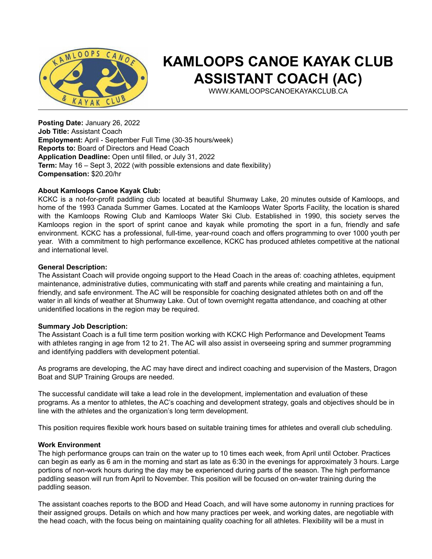

# **KAMLOOPS CANOE KAYAK CLUB ASSISTANT COACH (AC)**

WWW.KAMLOOPSCANOEKAYAKCLUB.CA

**Posting Date:** January 26, 2022 **Job Title:** Assistant Coach **Employment:** April - September Full Time (30-35 hours/week) **Reports to:** Board of Directors and Head Coach **Application Deadline:** Open until filled, or July 31, 2022 **Term:** May 16 – Sept 3, 2022 (with possible extensions and date flexibility) **Compensation:** \$20.20/hr

### **About Kamloops Canoe Kayak Club:**

KCKC is a not-for-profit paddling club located at beautiful Shumway Lake, 20 minutes outside of Kamloops, and home of the 1993 Canada Summer Games. Located at the Kamloops Water Sports Facility, the location is shared with the Kamloops Rowing Club and Kamloops Water Ski Club. Established in 1990, this society serves the Kamloops region in the sport of sprint canoe and kayak while promoting the sport in a fun, friendly and safe environment. KCKC has a professional, full-time, year-round coach and offers programming to over 1000 youth per year. With a commitment to high performance excellence, KCKC has produced athletes competitive at the national and international level.

#### **General Description:**

The Assistant Coach will provide ongoing support to the Head Coach in the areas of: coaching athletes, equipment maintenance, administrative duties, communicating with staff and parents while creating and maintaining a fun, friendly, and safe environment. The AC will be responsible for coaching designated athletes both on and off the water in all kinds of weather at Shumway Lake. Out of town overnight regatta attendance, and coaching at other unidentified locations in the region may be required.

#### **Summary Job Description:**

The Assistant Coach is a full time term position working with KCKC High Performance and Development Teams with athletes ranging in age from 12 to 21. The AC will also assist in overseeing spring and summer programming and identifying paddlers with development potential.

As programs are developing, the AC may have direct and indirect coaching and supervision of the Masters, Dragon Boat and SUP Training Groups are needed.

The successful candidate will take a lead role in the development, implementation and evaluation of these programs. As a mentor to athletes, the AC's coaching and development strategy, goals and objectives should be in line with the athletes and the organization's long term development.

This position requires flexible work hours based on suitable training times for athletes and overall club scheduling.

#### **Work Environment**

The high performance groups can train on the water up to 10 times each week, from April until October. Practices can begin as early as 6 am in the morning and start as late as 6:30 in the evenings for approximately 3 hours. Large portions of non-work hours during the day may be experienced during parts of the season. The high performance paddling season will run from April to November. This position will be focused on on-water training during the paddling season.

The assistant coaches reports to the BOD and Head Coach, and will have some autonomy in running practices for their assigned groups. Details on which and how many practices per week, and working dates, are negotiable with the head coach, with the focus being on maintaining quality coaching for all athletes. Flexibility will be a must in